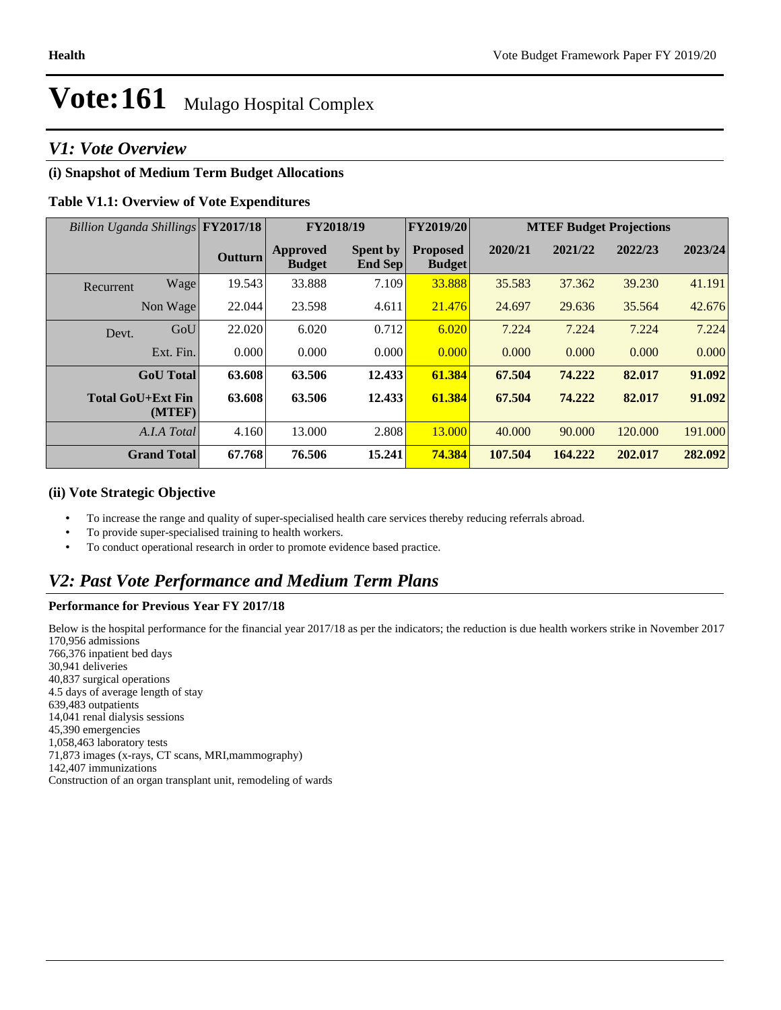# *V1: Vote Overview*

# **(i) Snapshot of Medium Term Budget Allocations**

### **Table V1.1: Overview of Vote Expenditures**

| Billion Uganda Shillings FY2017/18 |                    |                | FY2018/19                 |                                   | <b>FY2019/20</b>                 | <b>MTEF Budget Projections</b> |         |         |         |
|------------------------------------|--------------------|----------------|---------------------------|-----------------------------------|----------------------------------|--------------------------------|---------|---------|---------|
|                                    |                    | <b>Outturn</b> | Approved<br><b>Budget</b> | <b>Spent by</b><br><b>End Sep</b> | <b>Proposed</b><br><b>Budget</b> | 2020/21                        | 2021/22 | 2022/23 | 2023/24 |
| Recurrent                          | Wage               | 19.543         | 33.888                    | 7.109                             | 33.888                           | 35.583                         | 37.362  | 39.230  | 41.191  |
|                                    | Non Wage           | 22.044         | 23.598                    | 4.611                             | 21.476                           | 24.697                         | 29.636  | 35.564  | 42.676  |
| Devt.                              | GoU                | 22.020         | 6.020                     | 0.712                             | 6.020                            | 7.224                          | 7.224   | 7.224   | 7.224   |
|                                    | Ext. Fin.          | 0.000          | 0.000                     | 0.000                             | 0.000                            | 0.000                          | 0.000   | 0.000   | 0.000   |
|                                    | <b>GoU</b> Total   | 63.608         | 63.506                    | 12.433                            | 61.384                           | 67.504                         | 74.222  | 82.017  | 91.092  |
| <b>Total GoU+Ext Fin</b>           | (MTEF)             | 63.608         | 63.506                    | 12.433                            | 61.384                           | 67.504                         | 74.222  | 82.017  | 91.092  |
|                                    | A.I.A Total        | 4.160          | 13.000                    | 2.808                             | 13.000                           | 40.000                         | 90.000  | 120,000 | 191.000 |
|                                    | <b>Grand Total</b> | 67.768         | 76.506                    | 15.241                            | 74.384                           | 107.504                        | 164.222 | 202.017 | 282.092 |

#### **(ii) Vote Strategic Objective**

- To increase the range and quality of super-specialised health care services thereby reducing referrals abroad.
- To provide super-specialised training to health workers.
- To conduct operational research in order to promote evidence based practice.

# *V2: Past Vote Performance and Medium Term Plans*

#### **Performance for Previous Year FY 2017/18**

Below is the hospital performance for the financial year 2017/18 as per the indicators; the reduction is due health workers strike in November 2017 170,956 admissions 766,376 inpatient bed days 30,941 deliveries 40,837 surgical operations 4.5 days of average length of stay 639,483 outpatients 14,041 renal dialysis sessions 45,390 emergencies 1,058,463 laboratory tests 71,873 images (x-rays, CT scans, MRI,mammography) 142,407 immunizations Construction of an organ transplant unit, remodeling of wards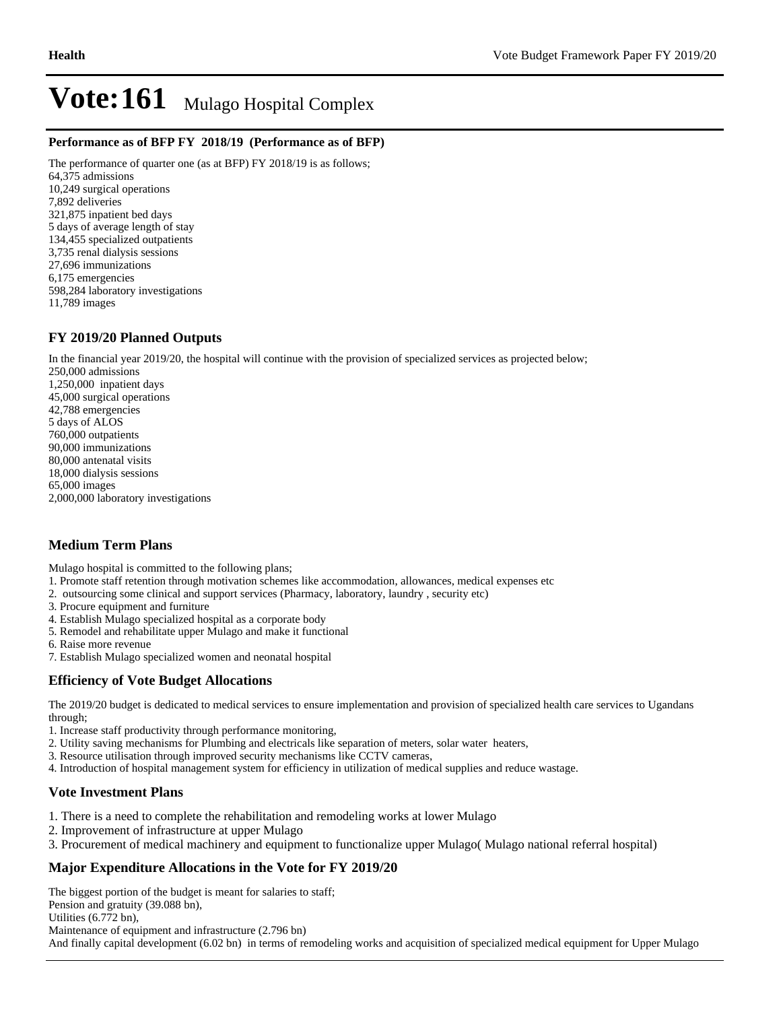#### **Performance as of BFP FY 2018/19 (Performance as of BFP)**

The performance of quarter one (as at BFP) FY 2018/19 is as follows; 64,375 admissions 10,249 surgical operations 7,892 deliveries 321,875 inpatient bed days 5 days of average length of stay 134,455 specialized outpatients 3,735 renal dialysis sessions 27,696 immunizations 6,175 emergencies 598,284 laboratory investigations 11,789 images

### **FY 2019/20 Planned Outputs**

In the financial year 2019/20, the hospital will continue with the provision of specialized services as projected below;

250,000 admissions 1,250,000 inpatient days 45,000 surgical operations 42,788 emergencies 5 days of ALOS 760,000 outpatients 90,000 immunizations 80,000 antenatal visits 18,000 dialysis sessions 65,000 images 2,000,000 laboratory investigations

# **Medium Term Plans**

Mulago hospital is committed to the following plans;

- 1. Promote staff retention through motivation schemes like accommodation, allowances, medical expenses etc
- 2. outsourcing some clinical and support services (Pharmacy, laboratory, laundry , security etc)
- 3. Procure equipment and furniture
- 4. Establish Mulago specialized hospital as a corporate body
- 5. Remodel and rehabilitate upper Mulago and make it functional
- 6. Raise more revenue
- 7. Establish Mulago specialized women and neonatal hospital

# **Efficiency of Vote Budget Allocations**

The 2019/20 budget is dedicated to medical services to ensure implementation and provision of specialized health care services to Ugandans through;

- 1. Increase staff productivity through performance monitoring,
- 2. Utility saving mechanisms for Plumbing and electricals like separation of meters, solar water heaters,
- 3. Resource utilisation through improved security mechanisms like CCTV cameras,
- 4. Introduction of hospital management system for efficiency in utilization of medical supplies and reduce wastage.

# **Vote Investment Plans**

- 1. There is a need to complete the rehabilitation and remodeling works at lower Mulago
- 2. Improvement of infrastructure at upper Mulago
- 3. Procurement of medical machinery and equipment to functionalize upper Mulago( Mulago national referral hospital)

### **Major Expenditure Allocations in the Vote for FY 2019/20**

The biggest portion of the budget is meant for salaries to staff; Pension and gratuity (39.088 bn), Utilities (6.772 bn),

Maintenance of equipment and infrastructure (2.796 bn)

And finally capital development (6.02 bn) in terms of remodeling works and acquisition of specialized medical equipment for Upper Mulago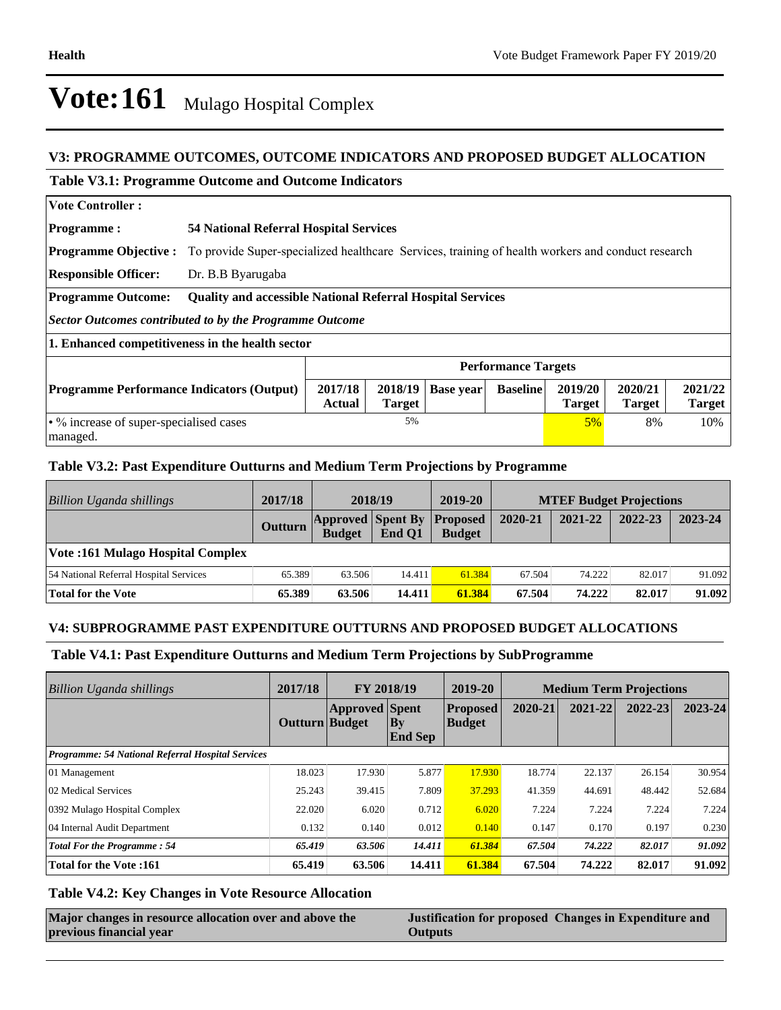# **V3: PROGRAMME OUTCOMES, OUTCOME INDICATORS AND PROPOSED BUDGET ALLOCATION**

#### **Table V3.1: Programme Outcome and Outcome Indicators**

| <b>Vote Controller:</b>                                                                                                                                                                                 |                                                                                                   |    |  |  |                          |    |     |  |
|---------------------------------------------------------------------------------------------------------------------------------------------------------------------------------------------------------|---------------------------------------------------------------------------------------------------|----|--|--|--------------------------|----|-----|--|
| <b>Programme:</b>                                                                                                                                                                                       | <b>54 National Referral Hospital Services</b>                                                     |    |  |  |                          |    |     |  |
| <b>Programme Objective:</b>                                                                                                                                                                             | To provide Super-specialized healthcare Services, training of health workers and conduct research |    |  |  |                          |    |     |  |
| <b>Responsible Officer:</b>                                                                                                                                                                             | Dr. B.B Byarugaba                                                                                 |    |  |  |                          |    |     |  |
| <b>Programme Outcome:</b>                                                                                                                                                                               | <b>Quality and accessible National Referral Hospital Services</b>                                 |    |  |  |                          |    |     |  |
| Sector Outcomes contributed to by the Programme Outcome                                                                                                                                                 |                                                                                                   |    |  |  |                          |    |     |  |
| 1. Enhanced competitiveness in the health sector                                                                                                                                                        |                                                                                                   |    |  |  |                          |    |     |  |
|                                                                                                                                                                                                         | <b>Performance Targets</b>                                                                        |    |  |  |                          |    |     |  |
| 2017/18<br>2020/21<br>2018/19<br>2019/20<br><b>Baseline</b><br><b>Programme Performance Indicators (Output)</b><br><b>Base year</b><br><b>Actual</b><br><b>Target</b><br><b>Target</b><br><b>Target</b> |                                                                                                   |    |  |  | 2021/22<br><b>Target</b> |    |     |  |
| • % increase of super-specialised cases<br>managed.                                                                                                                                                     |                                                                                                   | 5% |  |  | $5\%$                    | 8% | 10% |  |

## **Table V3.2: Past Expenditure Outturns and Medium Term Projections by Programme**

| Billion Uganda shillings                | 2017/18 | 2018/19                                   |        | 2019-20                          | <b>MTEF Budget Projections</b> |         |         |         |
|-----------------------------------------|---------|-------------------------------------------|--------|----------------------------------|--------------------------------|---------|---------|---------|
|                                         | Outturn | <b>Approved Spent By</b><br><b>Budget</b> | End O1 | <b>Proposed</b><br><b>Budget</b> | 2020-21                        | 2021-22 | 2022-23 | 2023-24 |
| <b>Vote:161 Mulago Hospital Complex</b> |         |                                           |        |                                  |                                |         |         |         |
| 54 National Referral Hospital Services  | 65.389  | 63.506                                    | 14.411 | 61.384                           | 67.504                         | 74.222  | 82.017  | 91.092  |
| Total for the Vote                      | 65.389  | 63.506                                    | 14.411 | 61.384                           | 67.504                         | 74.222  | 82.017  | 91.092  |

### **V4: SUBPROGRAMME PAST EXPENDITURE OUTTURNS AND PROPOSED BUDGET ALLOCATIONS**

### **Table V4.1: Past Expenditure Outturns and Medium Term Projections by SubProgramme**

| Billion Uganda shillings                                 | 2017/18        | FY 2018/19            |                      | 2019-20<br><b>Medium Term Projections</b> |         |         |         |             |
|----------------------------------------------------------|----------------|-----------------------|----------------------|-------------------------------------------|---------|---------|---------|-------------|
|                                                          | Outturn Budget | <b>Approved</b> Spent | By<br><b>End Sep</b> | <b>Proposed</b><br><b>Budget</b>          | 2020-21 | 2021-22 | 2022-23 | $2023 - 24$ |
| <b>Programme: 54 National Referral Hospital Services</b> |                |                       |                      |                                           |         |         |         |             |
| 01 Management                                            | 18.023         | 17.930                | 5.877                | 17.930                                    | 18.774  | 22.137  | 26.154  | 30.954      |
| 02 Medical Services                                      | 25.243         | 39.415                | 7.809                | 37.293                                    | 41.359  | 44.691  | 48.442  | 52.684      |
| 0392 Mulago Hospital Complex                             | 22.020         | 6.020                 | 0.712                | 6.020                                     | 7.224   | 7.224   | 7.224   | 7.224       |
| 04 Internal Audit Department                             | 0.132          | 0.140                 | 0.012                | 0.140                                     | 0.147   | 0.170   | 0.197   | 0.230       |
| <b>Total For the Programme: 54</b>                       | 65.419         | 63.506                | 14.411               | 61.384                                    | 67.504  | 74.222  | 82.017  | 91.092      |
| <b>Total for the Vote:161</b>                            | 65.419         | 63.506                | 14.411               | 61.384                                    | 67.504  | 74.222  | 82.017  | 91.092      |

## **Table V4.2: Key Changes in Vote Resource Allocation**

| Major changes in resource allocation over and above the | Justification for proposed Changes in Expenditure and |
|---------------------------------------------------------|-------------------------------------------------------|
| previous financial year                                 | <b>Outputs</b>                                        |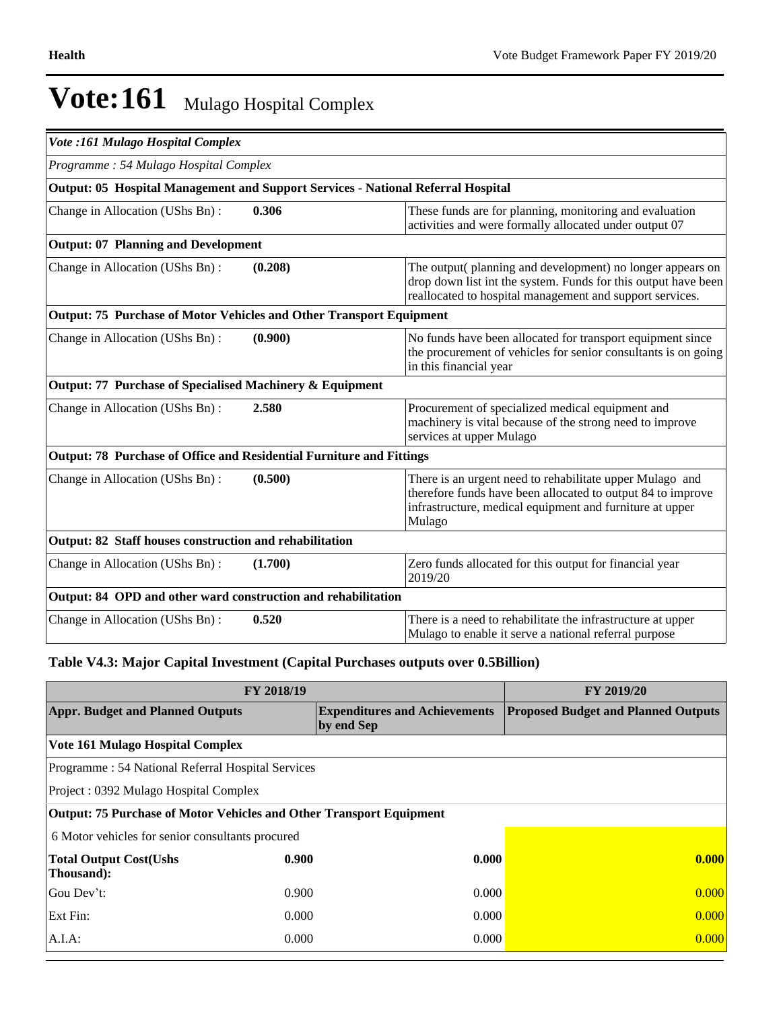| <b>Vote :161 Mulago Hospital Complex</b>                                                |         |                                                                                                                                                                                               |  |  |  |
|-----------------------------------------------------------------------------------------|---------|-----------------------------------------------------------------------------------------------------------------------------------------------------------------------------------------------|--|--|--|
| Programme: 54 Mulago Hospital Complex                                                   |         |                                                                                                                                                                                               |  |  |  |
| <b>Output: 05 Hospital Management and Support Services - National Referral Hospital</b> |         |                                                                                                                                                                                               |  |  |  |
| Change in Allocation (UShs Bn):                                                         | 0.306   | These funds are for planning, monitoring and evaluation<br>activities and were formally allocated under output 07                                                                             |  |  |  |
| <b>Output: 07 Planning and Development</b>                                              |         |                                                                                                                                                                                               |  |  |  |
| Change in Allocation (UShs Bn):                                                         | (0.208) | The output(planning and development) no longer appears on<br>drop down list int the system. Funds for this output have been<br>reallocated to hospital management and support services.       |  |  |  |
| Output: 75 Purchase of Motor Vehicles and Other Transport Equipment                     |         |                                                                                                                                                                                               |  |  |  |
| Change in Allocation (UShs Bn):                                                         | (0.900) | No funds have been allocated for transport equipment since<br>the procurement of vehicles for senior consultants is on going<br>in this financial year                                        |  |  |  |
| Output: 77 Purchase of Specialised Machinery & Equipment                                |         |                                                                                                                                                                                               |  |  |  |
| Change in Allocation (UShs Bn):                                                         | 2.580   | Procurement of specialized medical equipment and<br>machinery is vital because of the strong need to improve<br>services at upper Mulago                                                      |  |  |  |
| Output: 78 Purchase of Office and Residential Furniture and Fittings                    |         |                                                                                                                                                                                               |  |  |  |
| Change in Allocation (UShs Bn):                                                         | (0.500) | There is an urgent need to rehabilitate upper Mulago and<br>therefore funds have been allocated to output 84 to improve<br>infrastructure, medical equipment and furniture at upper<br>Mulago |  |  |  |
| Output: 82 Staff houses construction and rehabilitation                                 |         |                                                                                                                                                                                               |  |  |  |
| Change in Allocation (UShs Bn):                                                         | (1.700) | Zero funds allocated for this output for financial year<br>2019/20                                                                                                                            |  |  |  |
| Output: 84 OPD and other ward construction and rehabilitation                           |         |                                                                                                                                                                                               |  |  |  |
| Change in Allocation (UShs Bn):                                                         | 0.520   | There is a need to rehabilitate the infrastructure at upper<br>Mulago to enable it serve a national referral purpose                                                                          |  |  |  |

# **Table V4.3: Major Capital Investment (Capital Purchases outputs over 0.5Billion)**

|                                                                     | FY 2019/20 |                                                    |                                            |
|---------------------------------------------------------------------|------------|----------------------------------------------------|--------------------------------------------|
| <b>Appr. Budget and Planned Outputs</b>                             |            | <b>Expenditures and Achievements</b><br>by end Sep | <b>Proposed Budget and Planned Outputs</b> |
| Vote 161 Mulago Hospital Complex                                    |            |                                                    |                                            |
| Programme: 54 National Referral Hospital Services                   |            |                                                    |                                            |
| Project: 0392 Mulago Hospital Complex                               |            |                                                    |                                            |
| Output: 75 Purchase of Motor Vehicles and Other Transport Equipment |            |                                                    |                                            |
| 6 Motor vehicles for senior consultants procured                    |            |                                                    |                                            |
| <b>Total Output Cost(Ushs</b><br>Thousand):                         | 0.900      | 0.000                                              | 0.000                                      |
| Gou Dev't:                                                          | 0.900      | 0.000                                              | 0.000                                      |
| Ext Fin:                                                            | 0.000      | 0.000                                              | 0.000                                      |
| $A.I.A$ :                                                           | 0.000      | 0.000                                              | 0.000                                      |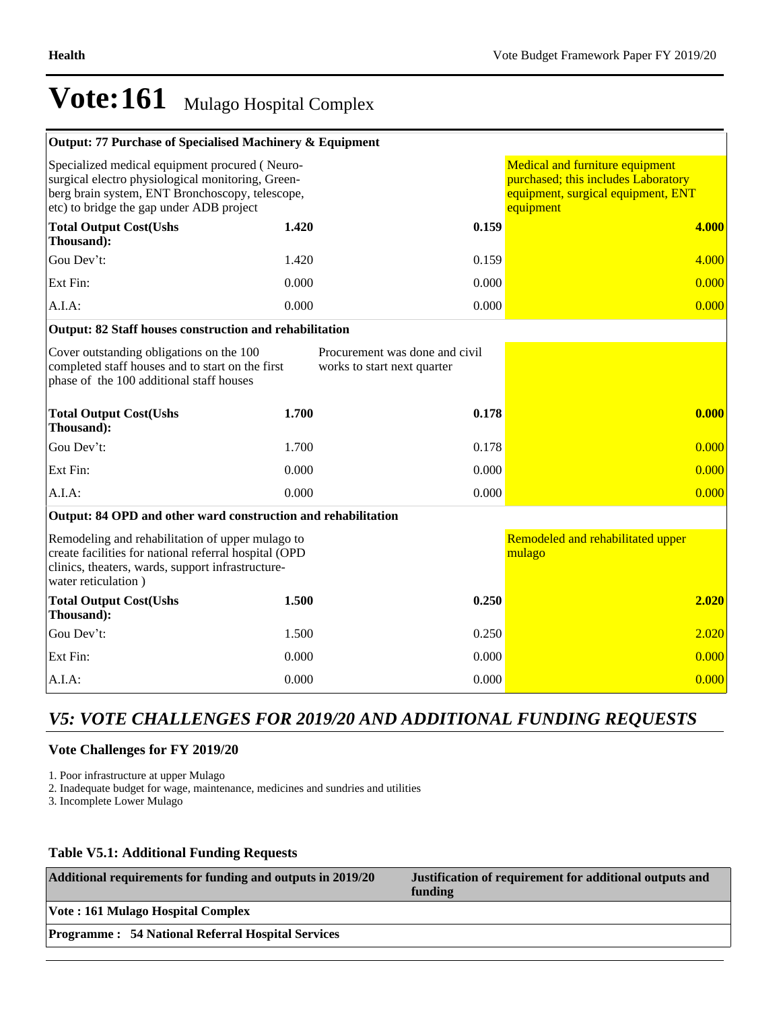| Output: 77 Purchase of Specialised Machinery & Equipment                                                                                                                                           |       |                                                               |                                                                                                                           |
|----------------------------------------------------------------------------------------------------------------------------------------------------------------------------------------------------|-------|---------------------------------------------------------------|---------------------------------------------------------------------------------------------------------------------------|
| Specialized medical equipment procured (Neuro-<br>surgical electro physiological monitoring, Green-<br>berg brain system, ENT Bronchoscopy, telescope,<br>etc) to bridge the gap under ADB project |       |                                                               | Medical and furniture equipment<br>purchased; this includes Laboratory<br>equipment, surgical equipment, ENT<br>equipment |
| <b>Total Output Cost(Ushs</b><br>Thousand):                                                                                                                                                        | 1.420 | 0.159                                                         | 4.000                                                                                                                     |
| Gou Dev't:                                                                                                                                                                                         | 1.420 | 0.159                                                         | 4.000                                                                                                                     |
| Ext Fin:                                                                                                                                                                                           | 0.000 | 0.000                                                         | 0.000                                                                                                                     |
| $A.I.A$ :                                                                                                                                                                                          | 0.000 | 0.000                                                         | 0.000                                                                                                                     |
| Output: 82 Staff houses construction and rehabilitation                                                                                                                                            |       |                                                               |                                                                                                                           |
| Cover outstanding obligations on the 100<br>completed staff houses and to start on the first<br>phase of the 100 additional staff houses                                                           |       | Procurement was done and civil<br>works to start next quarter |                                                                                                                           |
| <b>Total Output Cost(Ushs</b><br>Thousand):                                                                                                                                                        | 1.700 | 0.178                                                         | 0.000                                                                                                                     |
| Gou Dev't:                                                                                                                                                                                         | 1.700 | 0.178                                                         | 0.000                                                                                                                     |
| Ext Fin:                                                                                                                                                                                           | 0.000 | 0.000                                                         | 0.000                                                                                                                     |
| $A.I.A$ :                                                                                                                                                                                          | 0.000 | 0.000                                                         | 0.000                                                                                                                     |
| Output: 84 OPD and other ward construction and rehabilitation                                                                                                                                      |       |                                                               |                                                                                                                           |
| Remodeling and rehabilitation of upper mulago to<br>create facilities for national referral hospital (OPD<br>clinics, theaters, wards, support infrastructure-<br>water reticulation)              |       |                                                               | Remodeled and rehabilitated upper<br>mulago                                                                               |
| <b>Total Output Cost(Ushs</b><br>Thousand):                                                                                                                                                        | 1.500 | 0.250                                                         | 2.020                                                                                                                     |
| Gou Dev't:                                                                                                                                                                                         | 1.500 | 0.250                                                         | 2.020                                                                                                                     |
| Ext Fin:                                                                                                                                                                                           | 0.000 | 0.000                                                         | 0.000                                                                                                                     |
| $A.I.A$ :                                                                                                                                                                                          | 0.000 | 0.000                                                         | 0.000                                                                                                                     |

# *V5: VOTE CHALLENGES FOR 2019/20 AND ADDITIONAL FUNDING REQUESTS*

# **Vote Challenges for FY 2019/20**

1. Poor infrastructure at upper Mulago

2. Inadequate budget for wage, maintenance, medicines and sundries and utilities

3. Incomplete Lower Mulago

# **Table V5.1: Additional Funding Requests**

| Additional requirements for funding and outputs in 2019/20 | Justification of requirement for additional outputs and<br>funding |
|------------------------------------------------------------|--------------------------------------------------------------------|
| <b>Vote: 161 Mulago Hospital Complex</b>                   |                                                                    |
| <b>Programme: 54 National Referral Hospital Services</b>   |                                                                    |